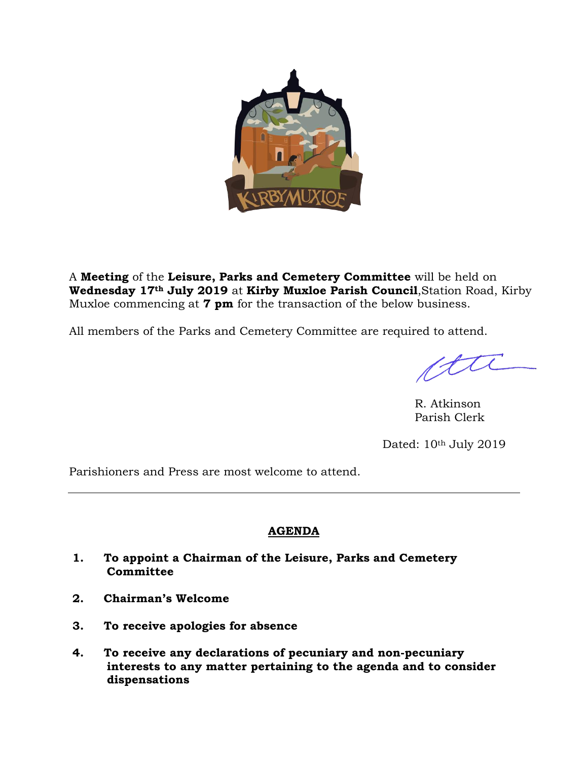

A **Meeting** of the **Leisure, Parks and Cemetery Committee** will be held on **Wednesday 17th July 2019** at **Kirby Muxloe Parish Council**,Station Road, Kirby Muxloe commencing at **7 pm** for the transaction of the below business.

All members of the Parks and Cemetery Committee are required to attend.

ette

R. Atkinson Parish Clerk

Dated: 10<sup>th</sup> July 2019

Parishioners and Press are most welcome to attend.

# **AGENDA**

- **1. To appoint a Chairman of the Leisure, Parks and Cemetery Committee**
- **2. Chairman's Welcome**
- **3. To receive apologies for absence**
- **4. To receive any declarations of pecuniary and non-pecuniary interests to any matter pertaining to the agenda and to consider dispensations**